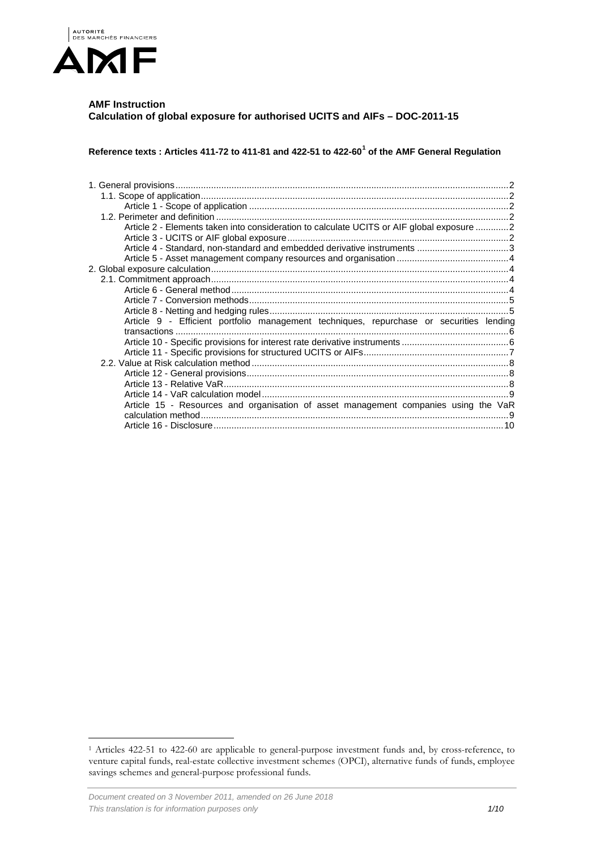

# **AMF Instruction Calculation of global exposure for authorised UCITS and AIFs – DOC-2011-15**

**Reference texts : Articles 411-72 to 411-81 and 422-51 to 422-60[1](#page-0-0) of the AMF General Regulation**

| Article 2 - Elements taken into consideration to calculate UCITS or AIF global exposure 2 |  |
|-------------------------------------------------------------------------------------------|--|
|                                                                                           |  |
| Article 4 - Standard, non-standard and embedded derivative instruments 3                  |  |
|                                                                                           |  |
|                                                                                           |  |
|                                                                                           |  |
|                                                                                           |  |
|                                                                                           |  |
|                                                                                           |  |
| Article 9 - Efficient portfolio management techniques, repurchase or securities lending   |  |
|                                                                                           |  |
|                                                                                           |  |
|                                                                                           |  |
|                                                                                           |  |
|                                                                                           |  |
|                                                                                           |  |
|                                                                                           |  |
| Article 15 - Resources and organisation of asset management companies using the VaR       |  |
|                                                                                           |  |
|                                                                                           |  |

<span id="page-0-0"></span> <sup>1</sup> Articles 422-51 to 422-60 are applicable to general-purpose investment funds and, by cross-reference, to venture capital funds, real-estate collective investment schemes (OPCI), alternative funds of funds, employee savings schemes and general-purpose professional funds.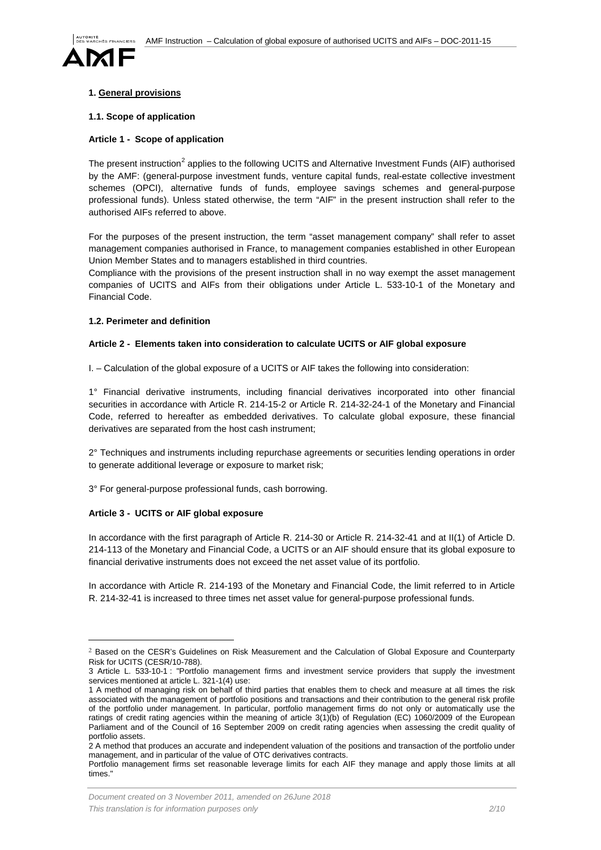

# <span id="page-1-0"></span>**1. General provisions**

### <span id="page-1-1"></span>**1.1. Scope of application**

### <span id="page-1-2"></span>**Article 1 - Scope of application**

The present instruction<sup>[2](#page-1-6)</sup> applies to the following UCITS and Alternative Investment Funds (AIF) authorised by the AMF: (general-purpose investment funds, venture capital funds, real-estate collective investment schemes (OPCI), alternative funds of funds, employee savings schemes and general-purpose professional funds). Unless stated otherwise, the term "AIF" in the present instruction shall refer to the authorised AIFs referred to above.

For the purposes of the present instruction, the term "asset management company" shall refer to asset management companies authorised in France, to management companies established in other European Union Member States and to managers established in third countries.

Compliance with the provisions of the present instruction shall in no way exempt the asset management companies of UCITS and AIFs from their obligations under Article L. 533-10-1 of the Monetary and Financial Code.

#### <span id="page-1-3"></span>**1.2. Perimeter and definition**

#### <span id="page-1-4"></span>**Article 2 - Elements taken into consideration to calculate UCITS or AIF global exposure**

I. – Calculation of the global exposure of a UCITS or AIF takes the following into consideration:

1° Financial derivative instruments, including financial derivatives incorporated into other financial securities in accordance with Article R. 214-15-2 or Article R. 214-32-24-1 of the Monetary and Financial Code, referred to hereafter as embedded derivatives. To calculate global exposure, these financial derivatives are separated from the host cash instrument;

2° Techniques and instruments including repurchase agreements or securities lending operations in order to generate additional leverage or exposure to market risk;

3° For general-purpose professional funds, cash borrowing.

# <span id="page-1-5"></span>**Article 3 - UCITS or AIF global exposure**

In accordance with the first paragraph of Article R. 214-30 or Article R. 214-32-41 and at II(1) of Article D. 214-113 of the Monetary and Financial Code, a UCITS or an AIF should ensure that its global exposure to financial derivative instruments does not exceed the net asset value of its portfolio.

In accordance with Article R. 214-193 of the Monetary and Financial Code, the limit referred to in Article R. 214-32-41 is increased to three times net asset value for general-purpose professional funds.

<span id="page-1-6"></span> <sup>2</sup> Based on the CESR's Guidelines on Risk Measurement and the Calculation of Global Exposure and Counterparty Risk for UCITS (CESR/10-788).

<sup>3</sup> Article L. 533-10-1 : "Portfolio management firms and investment service providers that supply the investment services mentioned at [article L. 321-1\(](https://www.legifrance.gouv.fr/affichCodeArticle.do?cidTexte=LEGITEXT000006072026&idArticle=LEGIARTI000006652173&dateTexte=&categorieLien=cid)4) use:

<sup>1</sup> A method of managing risk on behalf of third parties that enables them to check and measure at all times the risk associated with the management of portfolio positions and transactions and their contribution to the general risk profile of the portfolio under management. In particular, portfolio management firms do not only or automatically use the ratings of credit rating agencies within the meaning of article 3(1)(b) of Regulation (EC) 1060/2009 of the European Parliament and of the Council of 16 September 2009 on credit rating agencies when assessing the credit quality of portfolio assets.

<sup>2</sup> A method that produces an accurate and independent valuation of the positions and transaction of the portfolio under management, and in particular of the value of OTC derivatives contracts.

Portfolio management firms set reasonable leverage limits for each AIF they manage and apply those limits at all times."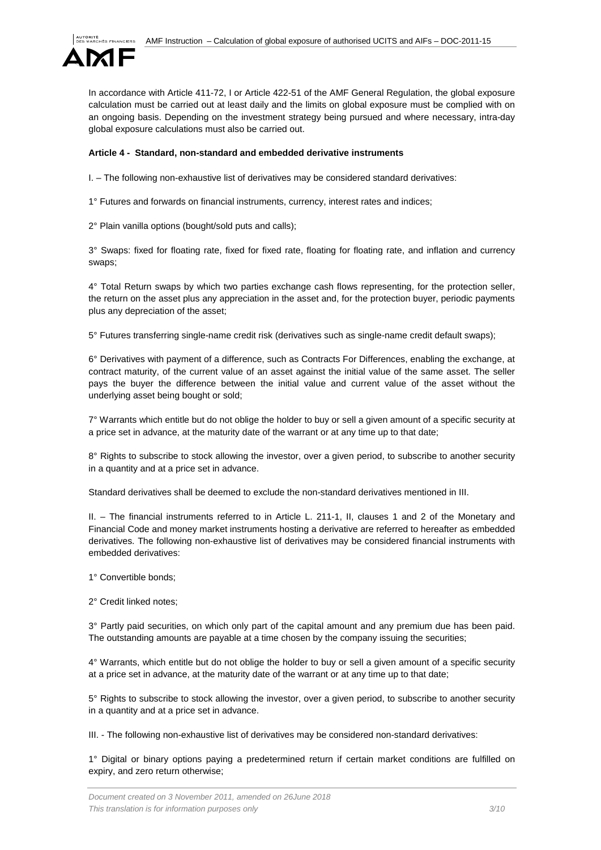

In accordance with Article 411-72, I or Article 422-51 of the AMF General Regulation, the global exposure calculation must be carried out at least daily and the limits on global exposure must be complied with on an ongoing basis. Depending on the investment strategy being pursued and where necessary, intra-day global exposure calculations must also be carried out.

# <span id="page-2-0"></span>**Article 4 - Standard, non-standard and embedded derivative instruments**

I. – The following non-exhaustive list of derivatives may be considered standard derivatives:

1° Futures and forwards on financial instruments, currency, interest rates and indices;

2° Plain vanilla options (bought/sold puts and calls);

3° Swaps: fixed for floating rate, fixed for fixed rate, floating for floating rate, and inflation and currency swaps;

4° Total Return swaps by which two parties exchange cash flows representing, for the protection seller, the return on the asset plus any appreciation in the asset and, for the protection buyer, periodic payments plus any depreciation of the asset;

5° Futures transferring single-name credit risk (derivatives such as single-name credit default swaps);

6° Derivatives with payment of a difference, such as Contracts For Differences, enabling the exchange, at contract maturity, of the current value of an asset against the initial value of the same asset. The seller pays the buyer the difference between the initial value and current value of the asset without the underlying asset being bought or sold;

7° Warrants which entitle but do not oblige the holder to buy or sell a given amount of a specific security at a price set in advance, at the maturity date of the warrant or at any time up to that date;

8° Rights to subscribe to stock allowing the investor, over a given period, to subscribe to another security in a quantity and at a price set in advance.

Standard derivatives shall be deemed to exclude the non-standard derivatives mentioned in III.

II. – The financial instruments referred to in Article L. 211-1, II, clauses 1 and 2 of the Monetary and Financial Code and money market instruments hosting a derivative are referred to hereafter as embedded derivatives. The following non-exhaustive list of derivatives may be considered financial instruments with embedded derivatives:

1° Convertible bonds;

2° Credit linked notes;

3° Partly paid securities, on which only part of the capital amount and any premium due has been paid. The outstanding amounts are payable at a time chosen by the company issuing the securities;

4° Warrants, which entitle but do not oblige the holder to buy or sell a given amount of a specific security at a price set in advance, at the maturity date of the warrant or at any time up to that date;

5° Rights to subscribe to stock allowing the investor, over a given period, to subscribe to another security in a quantity and at a price set in advance.

III. - The following non-exhaustive list of derivatives may be considered non-standard derivatives:

1° Digital or binary options paying a predetermined return if certain market conditions are fulfilled on expiry, and zero return otherwise;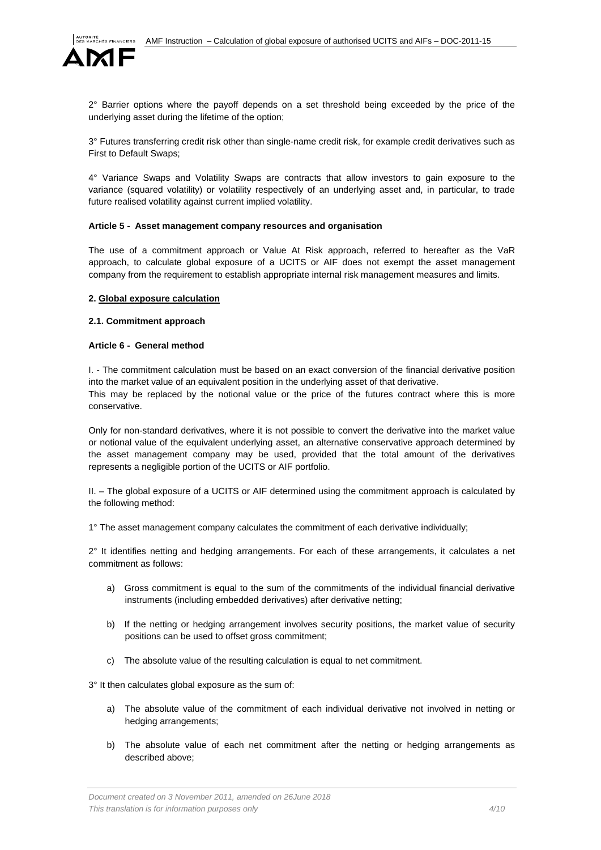

2° Barrier options where the payoff depends on a set threshold being exceeded by the price of the underlying asset during the lifetime of the option;

3° Futures transferring credit risk other than single-name credit risk, for example credit derivatives such as First to Default Swaps;

4° Variance Swaps and Volatility Swaps are contracts that allow investors to gain exposure to the variance (squared volatility) or volatility respectively of an underlying asset and, in particular, to trade future realised volatility against current implied volatility.

#### <span id="page-3-0"></span>**Article 5 - Asset management company resources and organisation**

The use of a commitment approach or Value At Risk approach, referred to hereafter as the VaR approach, to calculate global exposure of a UCITS or AIF does not exempt the asset management company from the requirement to establish appropriate internal risk management measures and limits.

#### <span id="page-3-1"></span>**2. Global exposure calculation**

#### <span id="page-3-2"></span>**2.1. Commitment approach**

#### <span id="page-3-3"></span>**Article 6 - General method**

I. - The commitment calculation must be based on an exact conversion of the financial derivative position into the market value of an equivalent position in the underlying asset of that derivative.

This may be replaced by the notional value or the price of the futures contract where this is more conservative.

Only for non-standard derivatives, where it is not possible to convert the derivative into the market value or notional value of the equivalent underlying asset, an alternative conservative approach determined by the asset management company may be used, provided that the total amount of the derivatives represents a negligible portion of the UCITS or AIF portfolio.

II. – The global exposure of a UCITS or AIF determined using the commitment approach is calculated by the following method:

1° The asset management company calculates the commitment of each derivative individually;

2° It identifies netting and hedging arrangements. For each of these arrangements, it calculates a net commitment as follows:

- a) Gross commitment is equal to the sum of the commitments of the individual financial derivative instruments (including embedded derivatives) after derivative netting;
- b) If the netting or hedging arrangement involves security positions, the market value of security positions can be used to offset gross commitment;
- c) The absolute value of the resulting calculation is equal to net commitment.

3° It then calculates global exposure as the sum of:

- a) The absolute value of the commitment of each individual derivative not involved in netting or hedging arrangements;
- b) The absolute value of each net commitment after the netting or hedging arrangements as described above;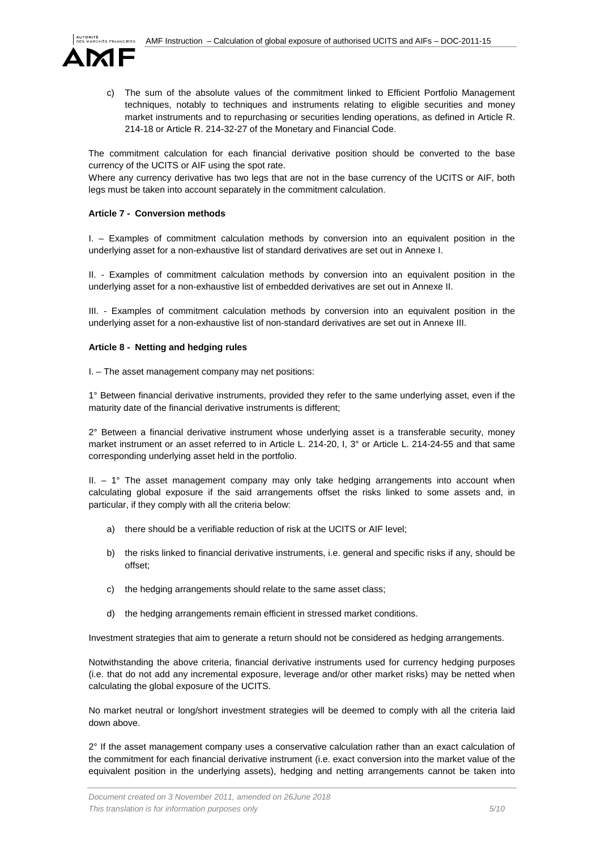

c) The sum of the absolute values of the commitment linked to Efficient Portfolio Management techniques, notably to techniques and instruments relating to eligible securities and money market instruments and to repurchasing or securities lending operations, as defined in Article R. 214-18 or Article R. 214-32-27 of the Monetary and Financial Code.

The commitment calculation for each financial derivative position should be converted to the base currency of the UCITS or AIF using the spot rate.

Where any currency derivative has two legs that are not in the base currency of the UCITS or AIF, both legs must be taken into account separately in the commitment calculation.

# <span id="page-4-0"></span>**Article 7 - Conversion methods**

I. – Examples of commitment calculation methods by conversion into an equivalent position in the underlying asset for a non-exhaustive list of standard derivatives are set out in Annexe I.

II. - Examples of commitment calculation methods by conversion into an equivalent position in the underlying asset for a non-exhaustive list of embedded derivatives are set out in Annexe II.

III. - Examples of commitment calculation methods by conversion into an equivalent position in the underlying asset for a non-exhaustive list of non-standard derivatives are set out in Annexe III.

# <span id="page-4-1"></span>**Article 8 - Netting and hedging rules**

I. – The asset management company may net positions:

1° Between financial derivative instruments, provided they refer to the same underlying asset, even if the maturity date of the financial derivative instruments is different;

2° Between a financial derivative instrument whose underlying asset is a transferable security, money market instrument or an asset referred to in Article L. 214-20, I, 3° or Article L. 214-24-55 and that same corresponding underlying asset held in the portfolio.

II. – 1° The asset management company may only take hedging arrangements into account when calculating global exposure if the said arrangements offset the risks linked to some assets and, in particular, if they comply with all the criteria below:

- a) there should be a verifiable reduction of risk at the UCITS or AIF level;
- b) the risks linked to financial derivative instruments, i.e. general and specific risks if any, should be offset;
- c) the hedging arrangements should relate to the same asset class;
- d) the hedging arrangements remain efficient in stressed market conditions.

Investment strategies that aim to generate a return should not be considered as hedging arrangements.

Notwithstanding the above criteria, financial derivative instruments used for currency hedging purposes (i.e. that do not add any incremental exposure, leverage and/or other market risks) may be netted when calculating the global exposure of the UCITS.

No market neutral or long/short investment strategies will be deemed to comply with all the criteria laid down above.

 $2^{\circ}$  If the asset management company uses a conservative calculation rather than an exact calculation of the commitment for each financial derivative instrument (i.e. exact conversion into the market value of the equivalent position in the underlying assets), hedging and netting arrangements cannot be taken into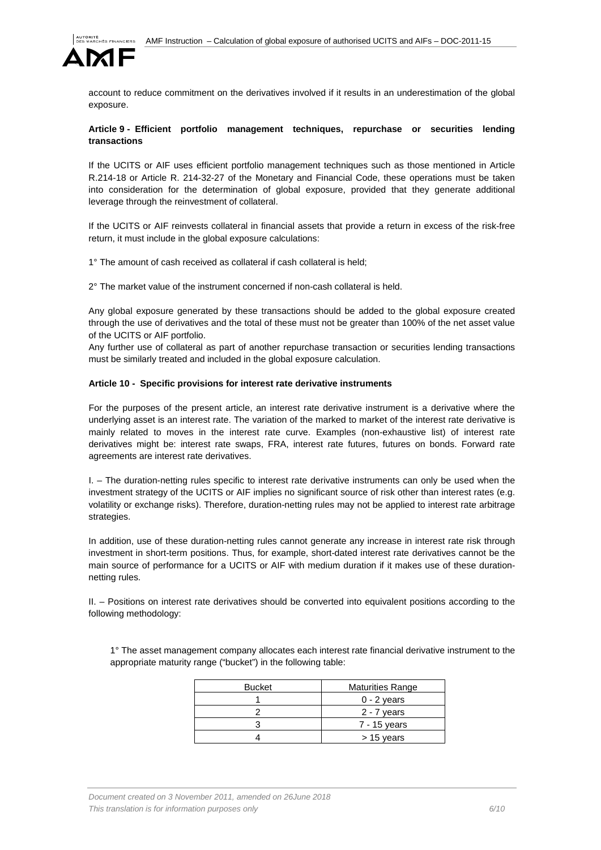

account to reduce commitment on the derivatives involved if it results in an underestimation of the global exposure.

### <span id="page-5-0"></span>**Article 9 - Efficient portfolio management techniques, repurchase or securities lending transactions**

If the UCITS or AIF uses efficient portfolio management techniques such as those mentioned in Article R.214-18 or Article R. 214-32-27 of the Monetary and Financial Code, these operations must be taken into consideration for the determination of global exposure, provided that they generate additional leverage through the reinvestment of collateral.

If the UCITS or AIF reinvests collateral in financial assets that provide a return in excess of the risk-free return, it must include in the global exposure calculations:

1° The amount of cash received as collateral if cash collateral is held;

2° The market value of the instrument concerned if non-cash collateral is held.

Any global exposure generated by these transactions should be added to the global exposure created through the use of derivatives and the total of these must not be greater than 100% of the net asset value of the UCITS or AIF portfolio.

Any further use of collateral as part of another repurchase transaction or securities lending transactions must be similarly treated and included in the global exposure calculation.

#### <span id="page-5-1"></span>**Article 10 - Specific provisions for interest rate derivative instruments**

For the purposes of the present article, an interest rate derivative instrument is a derivative where the underlying asset is an interest rate. The variation of the marked to market of the interest rate derivative is mainly related to moves in the interest rate curve. Examples (non-exhaustive list) of interest rate derivatives might be: interest rate swaps, FRA, interest rate futures, futures on bonds. Forward rate agreements are interest rate derivatives.

I. – The duration-netting rules specific to interest rate derivative instruments can only be used when the investment strategy of the UCITS or AIF implies no significant source of risk other than interest rates (e.g. volatility or exchange risks). Therefore, duration-netting rules may not be applied to interest rate arbitrage strategies.

In addition, use of these duration-netting rules cannot generate any increase in interest rate risk through investment in short-term positions. Thus, for example, short-dated interest rate derivatives cannot be the main source of performance for a UCITS or AIF with medium duration if it makes use of these durationnetting rules.

II. – Positions on interest rate derivatives should be converted into equivalent positions according to the following methodology:

1° The asset management company allocates each interest rate financial derivative instrument to the appropriate maturity range ("bucket") in the following table:

| <b>Bucket</b> | <b>Maturities Range</b> |
|---------------|-------------------------|
|               | $0 - 2$ years           |
|               | 2 - 7 years             |
|               | 7 - 15 years            |
|               | $> 15$ years            |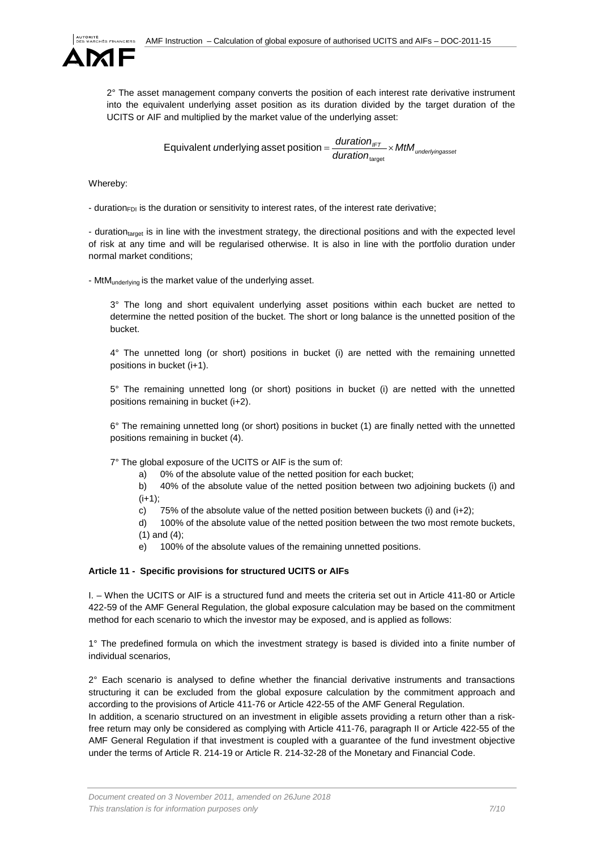

2° The asset management company converts the position of each interest rate derivative instrument into the equivalent underlying asset position as its duration divided by the target duration of the UCITS or AIF and multiplied by the market value of the underlying asset:

> $\frac{1}{\text{duration}_{\text{Intra}} \times \text{MtM}_{\text{underlyingasse}}}$ *u*nderlying asset position =  $\frac{duration_{\text{IFT}}}{1} \times$ target Equivalent underlying asset position

Whereby:

- duration<sub>FDI</sub> is the duration or sensitivity to interest rates, of the interest rate derivative;

- duration<sub>target</sub> is in line with the investment strategy, the directional positions and with the expected level of risk at any time and will be regularised otherwise. It is also in line with the portfolio duration under normal market conditions;

- MtM<sub>underlying</sub> is the market value of the underlying asset.

3° The long and short equivalent underlying asset positions within each bucket are netted to determine the netted position of the bucket. The short or long balance is the unnetted position of the bucket.

4° The unnetted long (or short) positions in bucket (i) are netted with the remaining unnetted positions in bucket (i+1).

5° The remaining unnetted long (or short) positions in bucket (i) are netted with the unnetted positions remaining in bucket (i+2).

6° The remaining unnetted long (or short) positions in bucket (1) are finally netted with the unnetted positions remaining in bucket (4).

7° The global exposure of the UCITS or AIF is the sum of:

a) 0% of the absolute value of the netted position for each bucket;

b) 40% of the absolute value of the netted position between two adjoining buckets (i) and  $(i+1)$ ;

c) 75% of the absolute value of the netted position between buckets (i) and  $(i+2)$ ;

d) 100% of the absolute value of the netted position between the two most remote buckets, (1) and (4);

e) 100% of the absolute values of the remaining unnetted positions.

# <span id="page-6-0"></span>**Article 11 - Specific provisions for structured UCITS or AIFs**

I. – When the UCITS or AIF is a structured fund and meets the criteria set out in Article 411-80 or Article 422-59 of the AMF General Regulation, the global exposure calculation may be based on the commitment method for each scenario to which the investor may be exposed, and is applied as follows:

1° The predefined formula on which the investment strategy is based is divided into a finite number of individual scenarios,

 $2^{\circ}$  Each scenario is analysed to define whether the financial derivative instruments and transactions structuring it can be excluded from the global exposure calculation by the commitment approach and according to the provisions of Article 411-76 or Article 422-55 of the AMF General Regulation.

In addition, a scenario structured on an investment in eligible assets providing a return other than a riskfree return may only be considered as complying with Article 411-76, paragraph II or Article 422-55 of the AMF General Regulation if that investment is coupled with a guarantee of the fund investment objective under the terms of Article R. 214-19 or Article R. 214-32-28 of the Monetary and Financial Code.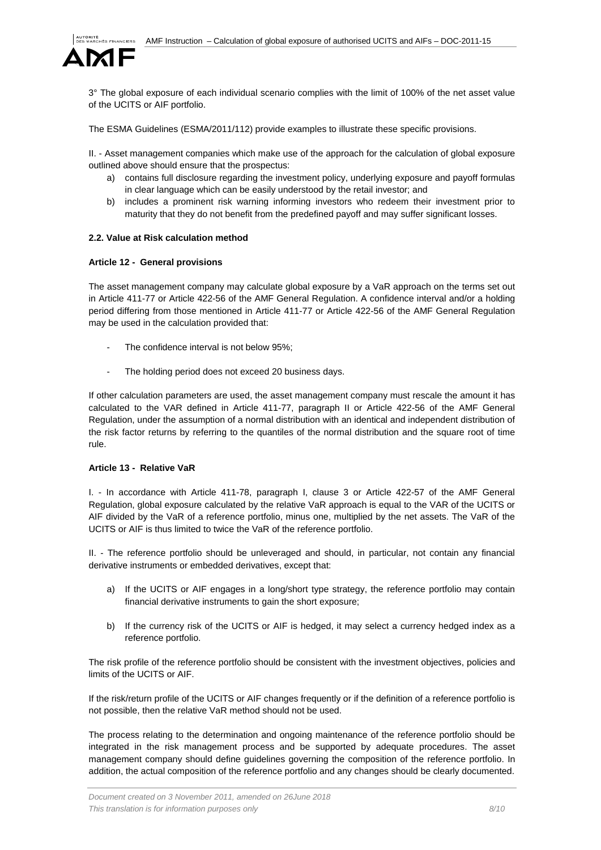

3° The global exposure of each individual scenario complies with the limit of 100% of the net asset value of the UCITS or AIF portfolio.

The ESMA Guidelines (ESMA/2011/112) provide examples to illustrate these specific provisions.

II. - Asset management companies which make use of the approach for the calculation of global exposure outlined above should ensure that the prospectus:

- a) contains full disclosure regarding the investment policy, underlying exposure and payoff formulas in clear language which can be easily understood by the retail investor; and
- b) includes a prominent risk warning informing investors who redeem their investment prior to maturity that they do not benefit from the predefined payoff and may suffer significant losses.

#### <span id="page-7-0"></span>**2.2. Value at Risk calculation method**

#### <span id="page-7-1"></span>**Article 12 - General provisions**

The asset management company may calculate global exposure by a VaR approach on the terms set out in Article 411-77 or Article 422-56 of the AMF General Regulation. A confidence interval and/or a holding period differing from those mentioned in Article 411-77 or Article 422-56 of the AMF General Regulation may be used in the calculation provided that:

- The confidence interval is not below 95%;
- The holding period does not exceed 20 business days.

If other calculation parameters are used, the asset management company must rescale the amount it has calculated to the VAR defined in Article 411-77, paragraph II or Article 422-56 of the AMF General Regulation, under the assumption of a normal distribution with an identical and independent distribution of the risk factor returns by referring to the quantiles of the normal distribution and the square root of time rule.

#### <span id="page-7-2"></span>**Article 13 - Relative VaR**

I. - In accordance with Article 411-78, paragraph I, clause 3 or Article 422-57 of the AMF General Regulation, global exposure calculated by the relative VaR approach is equal to the VAR of the UCITS or AIF divided by the VaR of a reference portfolio, minus one, multiplied by the net assets. The VaR of the UCITS or AIF is thus limited to twice the VaR of the reference portfolio.

II. - The reference portfolio should be unleveraged and should, in particular, not contain any financial derivative instruments or embedded derivatives, except that:

- a) If the UCITS or AIF engages in a long/short type strategy, the reference portfolio may contain financial derivative instruments to gain the short exposure;
- b) If the currency risk of the UCITS or AIF is hedged, it may select a currency hedged index as a reference portfolio.

The risk profile of the reference portfolio should be consistent with the investment objectives, policies and limits of the UCITS or AIF.

If the risk/return profile of the UCITS or AIF changes frequently or if the definition of a reference portfolio is not possible, then the relative VaR method should not be used.

The process relating to the determination and ongoing maintenance of the reference portfolio should be integrated in the risk management process and be supported by adequate procedures. The asset management company should define guidelines governing the composition of the reference portfolio. In addition, the actual composition of the reference portfolio and any changes should be clearly documented.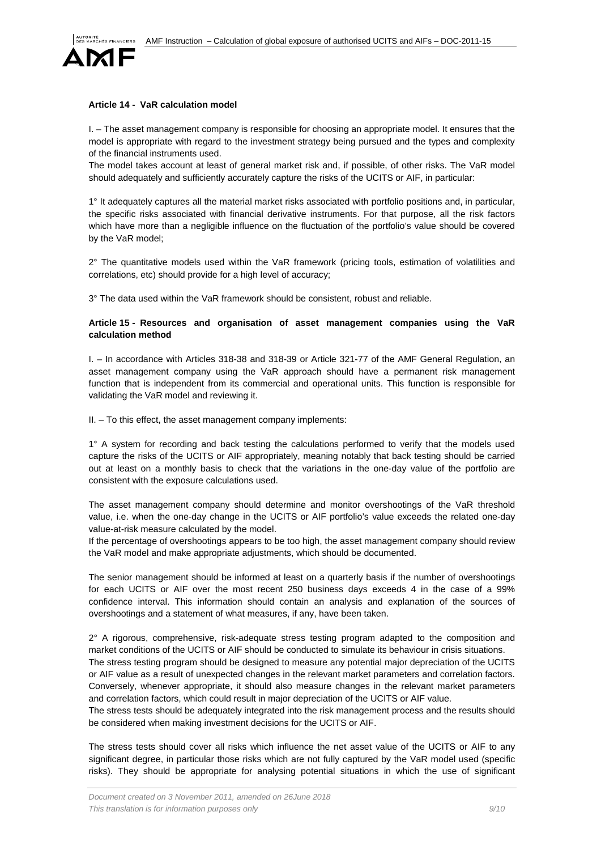

# <span id="page-8-0"></span>**Article 14 - VaR calculation model**

I. – The asset management company is responsible for choosing an appropriate model. It ensures that the model is appropriate with regard to the investment strategy being pursued and the types and complexity of the financial instruments used.

The model takes account at least of general market risk and, if possible, of other risks. The VaR model should adequately and sufficiently accurately capture the risks of the UCITS or AIF, in particular:

1° It adequately captures all the material market risks associated with portfolio positions and, in particular, the specific risks associated with financial derivative instruments. For that purpose, all the risk factors which have more than a negligible influence on the fluctuation of the portfolio's value should be covered by the VaR model;

2° The quantitative models used within the VaR framework (pricing tools, estimation of volatilities and correlations, etc) should provide for a high level of accuracy;

3° The data used within the VaR framework should be consistent, robust and reliable.

# <span id="page-8-1"></span>**Article 15 - Resources and organisation of asset management companies using the VaR calculation method**

I. – In accordance with Articles 318-38 and 318-39 or Article 321-77 of the AMF General Regulation, an asset management company using the VaR approach should have a permanent risk management function that is independent from its commercial and operational units. This function is responsible for validating the VaR model and reviewing it.

II. – To this effect, the asset management company implements:

1° A system for recording and back testing the calculations performed to verify that the models used capture the risks of the UCITS or AIF appropriately, meaning notably that back testing should be carried out at least on a monthly basis to check that the variations in the one-day value of the portfolio are consistent with the exposure calculations used.

The asset management company should determine and monitor overshootings of the VaR threshold value, i.e. when the one-day change in the UCITS or AIF portfolio's value exceeds the related one-day value-at-risk measure calculated by the model.

If the percentage of overshootings appears to be too high, the asset management company should review the VaR model and make appropriate adjustments, which should be documented.

The senior management should be informed at least on a quarterly basis if the number of overshootings for each UCITS or AIF over the most recent 250 business days exceeds 4 in the case of a 99% confidence interval. This information should contain an analysis and explanation of the sources of overshootings and a statement of what measures, if any, have been taken.

2° A rigorous, comprehensive, risk-adequate stress testing program adapted to the composition and market conditions of the UCITS or AIF should be conducted to simulate its behaviour in crisis situations. The stress testing program should be designed to measure any potential major depreciation of the UCITS or AIF value as a result of unexpected changes in the relevant market parameters and correlation factors. Conversely, whenever appropriate, it should also measure changes in the relevant market parameters and correlation factors, which could result in major depreciation of the UCITS or AIF value.

The stress tests should be adequately integrated into the risk management process and the results should be considered when making investment decisions for the UCITS or AIF.

The stress tests should cover all risks which influence the net asset value of the UCITS or AIF to any significant degree, in particular those risks which are not fully captured by the VaR model used (specific risks). They should be appropriate for analysing potential situations in which the use of significant